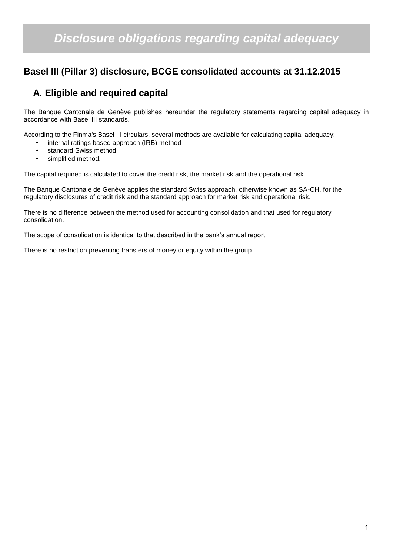# *Disclosure obligations regarding capital adequacy*

## **Basel III (Pillar 3) disclosure, BCGE consolidated accounts at 31.12.2015**

## **A. Eligible and required capital**

The Banque Cantonale de Genève publishes hereunder the regulatory statements regarding capital adequacy in accordance with Basel III standards.

According to the Finma's Basel III circulars, several methods are available for calculating capital adequacy:

- internal ratings based approach (IRB) method
- standard Swiss method
- simplified method.

The capital required is calculated to cover the credit risk, the market risk and the operational risk.

The Banque Cantonale de Genève applies the standard Swiss approach, otherwise known as SA-CH, for the regulatory disclosures of credit risk and the standard approach for market risk and operational risk.

There is no difference between the method used for accounting consolidation and that used for regulatory consolidation.

The scope of consolidation is identical to that described in the bank's annual report.

There is no restriction preventing transfers of money or equity within the group.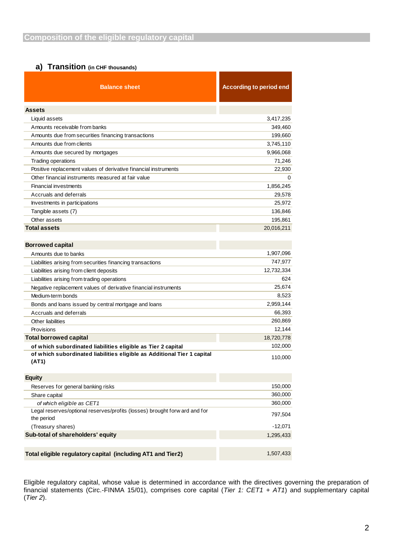## **a) Transition (in CHF thousands)**

| <b>Balance sheet</b>                                                                                                                             | <b>According to period end</b> |
|--------------------------------------------------------------------------------------------------------------------------------------------------|--------------------------------|
| <b>Assets</b>                                                                                                                                    |                                |
| Liquid assets                                                                                                                                    | 3,417,235                      |
| Amounts receivable from banks                                                                                                                    | 349,460                        |
| Amounts due from securities financing transactions                                                                                               | 199,660                        |
| Amounts due from clients                                                                                                                         | 3,745,110                      |
| Amounts due secured by mortgages                                                                                                                 | 9,966,068                      |
| <b>Trading operations</b>                                                                                                                        | 71,246                         |
| Positive replacement values of derivative financial instruments                                                                                  | 22,930                         |
| Other financial instruments measured at fair value                                                                                               | 0                              |
| <b>Financial investments</b>                                                                                                                     | 1,856,245                      |
| Accruals and deferrals                                                                                                                           | 29,578                         |
| Investments in participations                                                                                                                    | 25,972                         |
| Tangible assets (7)                                                                                                                              | 136,846                        |
| Other assets                                                                                                                                     | 195,861                        |
| <b>Total assets</b>                                                                                                                              | 20,016,211                     |
| <b>Borrowed capital</b>                                                                                                                          |                                |
| Amounts due to banks                                                                                                                             | 1,907,096                      |
| Liabilities arising from securities financing transactions                                                                                       | 747,977                        |
| Liabilities arising from client deposits                                                                                                         | 12,732,334                     |
|                                                                                                                                                  | 624                            |
| Liabilities arising from trading operations                                                                                                      | 25,674                         |
| Negative replacement values of derivative financial instruments<br>Medium-term bonds                                                             | 8,523                          |
|                                                                                                                                                  | 2,959,144                      |
| Bonds and loans issued by central mortgage and loans<br>Accruals and deferrals                                                                   | 66,393                         |
|                                                                                                                                                  | 260,869                        |
| Other liabilities                                                                                                                                | 12,144                         |
| Provisions<br><b>Total borrowed capital</b>                                                                                                      | 18,720,778                     |
|                                                                                                                                                  |                                |
| of which subordinated liabilities eligible as Tier 2 capital<br>of which subordinated liabilities eligible as Additional Tier 1 capital<br>(AT1) | 102,000<br>110,000             |
| <b>Equity</b>                                                                                                                                    |                                |
| Reserves for general banking risks                                                                                                               | 150,000                        |
| Share capital                                                                                                                                    | 360,000                        |
| of which eligible as CET1                                                                                                                        | 360,000                        |
| Legal reserves/optional reserves/profits (losses) brought forw ard and for<br>the period                                                         | 797,504                        |
| (Treasury shares)                                                                                                                                | $-12,071$                      |
| Sub-total of shareholders' equity                                                                                                                | 1,295,433                      |
| Total eligible regulatory capital (including AT1 and Tier2)                                                                                      | 1,507,433                      |

Eligible regulatory capital, whose value is determined in accordance with the directives governing the preparation of financial statements (Circ.-FINMA 15/01), comprises core capital (*Tier 1: CET1 + AT1*) and supplementary capital (*Tier 2*).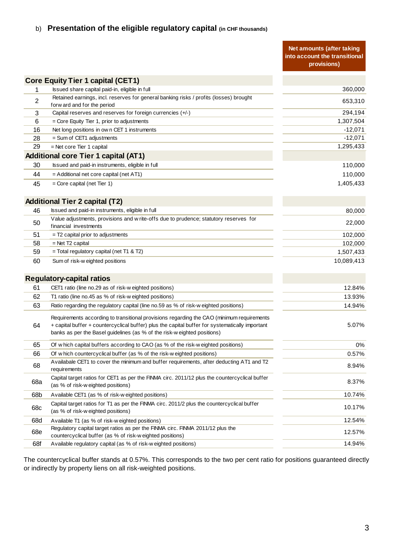### **Net amounts (after taking into account the transitional provisions)** 1 Issued share capital paid-in, eligible in full 360,000 issued by the state of the state of the state of the state of the state of the state of the state of the state of the state of the state of the state of the state of 2 Retained earnings, incl. reserves for general banking risks / profits (losses) brought **quity Tier 1 capital (CET1)**<br>
Issued share capital paid-in, eligible in full 360,000<br>
Retained earnings, incl. reserves for general banking risks / profits (losses) brought<br>
forw ard and for the period 653,310<br>
Capital re 3 Capital reserves and reserves for foreign currencies (+/-) 294,194 6 = Core Equity Tier 1, prior to adjustments 1,307,504 Forw and and for the period to be the period of the period of the period of the period of the period of the period of the period of the period of the period of the period of the period of the period of the period of the p 28 = Sum of CET1 adjustments -12,071 29 = Net core Tier 1 capital 1,295,433 30 Issued and paid-in instruments, eligible in full 110,000 issued and paid-in instruments, eligible in full 110,000 44 = Additional net core capital (net AT1) 110,000 45 = Core capital (net Tier 1) 1,405,433 46 Issued and paid-in instruments, eligible in full 80,000 <sup>50</sup> Value adjustments, provisions and w rite-offs due to prudence; statutory reserves for raido dejabandino, provisions and which should to predecise, statutely reserved for the company of the 22,000 company of the company of the company of the company of the company of the company of the company of the company 51 = T2 capital prior to adjustments 102,000 58 = Net T2 capital 102,000 59 = Total regulatory capital (net T1 & T2) 1,507,433  $51 = T2$  capital prior to adjustments<br>  $58 = Net T2$  capital  $102,000$ <br>  $= Total regulatory capital (net T1 & T2)$ <br>  $60 = Total regulatory capital (net T1 & T2)$ <br>  $1,507,433$ <br>
Sum of risk-w eighted positions  $10,089,413$ 60 Sum of risk-w eighted positions<br> **Example:** 10,089,413<br> **Example: 12.84%**<br>
61 CET1 ratio (line no.29 as of risk-w eighted positions)<br>
62 T1 ratio (line no.45 as % of risk w eighted positions) egulatory-capital ratios<br>61 CET1 ratio (line no.29 as of risk-w eighted positions) 12.84%<br>62 T1 ratio (line no.45 as % of risk-w eighted positions) 13.93%<br>63 Patio regarding the regulatory capital (line no 59 as % of risk-**EXECUTE 15 CET1 ratio (line no.29 as of risk-w eighted positions)** CET1 ratio (line no.29 as of risk-w eighted positions) 12.84%<br>
63 Ratio regarding the regulatory capital (line no.59 as % of risk-w eighted positions) 14. 64 Requirements according to transitional provisions regarding the CAO (minimum requirements + capital buffer + countercyclical buffer) plus the capital buffer for systematically important Ratio regarding the regulatory capital (line no.59 as % of risk-w eighted<br>Requirements according to transitional provisions regarding the CAO (m<br>+ capital buffer + countercyclical buffer) plus the capital buffer for syst<br>b 5.07% Requirements according to transitional provisions regarding the CAO (minimum requirements<br>
64 + capital buffer + countercyclical buffer) plus the capital buffer for systematically important<br>
65 Of w hich capital buffers ac 4 Capital buffer + countercyclical buffer) plus the capital buffer for systematically important banks as per the Basel guidelines (as % of the risk-w eighted positions) 0.57%<br>
0.57% Of w hich countercyclical buffer (as % o <sup>68</sup> Availabale CET1 to cover the minimum and buffer requirements, after deducting AT1 and T2 requirements 8.94% 68a Capital target ratios for CET1 as per the FINMA circ. 2011/12 plus the countercyclical buffer Example the state of the control of the control of the control of the control of AT1 and T2<br>
requirements<br>
Capital target ratios for CET1 as per the FINMA circ. 2011/12 plus the countercyclical buffer<br>
(as % of risk-w eigh Franchish Capital target ratios for CET1 as per the FINMA circ. 2011/12 plus the countercyclical buffer (as % of risk-w eighted positions) **68b** Available CET1 (as % of risk-w eighted positions) **10.74%** Capital target rat Capital target ratios for T1 as per the FINMA circ. 2011/2 plus the countercyclical buffer<br>68C (as % of risk w gighted positions) (as % of risk-w eighted positions)<br>
Available CET1 (as % of risk-w eighted positions)<br>
Capital target ratios for T1 as per the FINMA circ. 2011/2 plus the countercyclical buffer<br>
(as % of risk-w eighted positions)<br>
Availab 68b Available CET1 (as % of risk-w eighted positions) 10.74%<br>
Capital target ratios for T1 as per the FINMA circ. 2011/2 plus the countercyclical buffer<br>
68c (as % of risk-w eighted positions) 12.54%<br>
Requilatory capital t 68e Regulatory capital target ratios as per the FINMA circ. FINMA 2011/12 plus the (as % of risk-w eighted positions)<br>
Available T1 (as % of risk-w eighted positions)<br>
Regulatory capital target ratios as per the FINMA circ. FINMA 2011/12 plus the<br>
countercyclical buffer (as % of risk-w eighted positions) Available T1 (as % of risk-w eighted positions)<br>
Regulatory capital target ratios as per the FINMA circ. FINMA 2011/12 plus the<br>
countercyclical buffer (as % of risk-w eighted positions)<br>
68f Available regulatory capital ( **Regulatory-capital ratios Core Equity Tier 1 capital (CET1) Additional core Tier 1 capital (AT1) Additional Tier 2 capital (T2)**

The countercyclical buffer stands at 0.57%. This corresponds to the two per cent ratio for positions guaranteed directly or indirectly by property liens on all risk-weighted positions.

### b) **Presentation of the eligible regulatory capital (in CHF thousands)**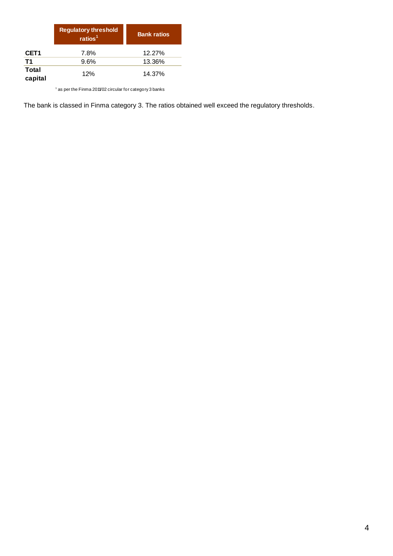|                  | <b>Regulatory threshold</b><br>ratios $1$ | <b>Bank ratios</b> |
|------------------|-------------------------------------------|--------------------|
| CET <sub>1</sub> | 7.8%                                      | 12.27%             |
| <b>T1</b>        | 9.6%                                      | 13.36%             |
| Total<br>capital | 12%                                       | 14.37%             |

<sup>1</sup> as per the Finma 2011/02 circular for category 3 banks

The bank is classed in Finma category 3. The ratios obtained well exceed the regulatory thresholds.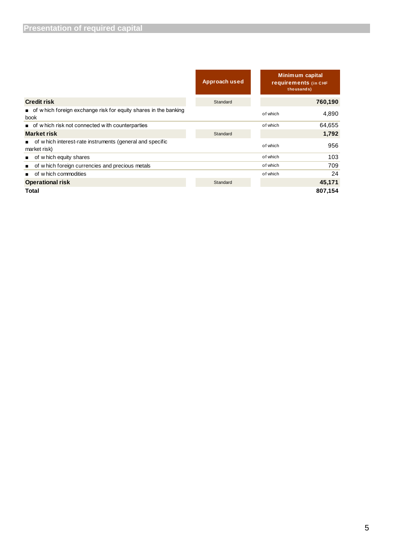|                                                                                          | Approach used |          | Minimum capital<br><b>requirements (in CHF</b><br>thousands) |
|------------------------------------------------------------------------------------------|---------------|----------|--------------------------------------------------------------|
| <b>Credit risk</b>                                                                       | Standard      |          | 760,190                                                      |
| of which foreign exchange risk for equity shares in the banking<br>book                  |               | of which | 4,890                                                        |
| of which risk not connected with counterparties                                          |               | of which | 64,655                                                       |
| <b>Market risk</b>                                                                       | Standard      |          | 1,792                                                        |
| of which interest-rate instruments (general and specific<br>$\mathbf{r}$<br>market risk) |               | of which | 956                                                          |
| of which equity shares<br>$\blacksquare$                                                 |               | of which | 103                                                          |
| of which foreign currencies and precious metals<br>■                                     |               | of which | 709                                                          |
| of w hich commodities                                                                    |               | of which | 24                                                           |
| <b>Operational risk</b>                                                                  | Standard      |          | 45,171                                                       |
| Total                                                                                    |               |          | 807,154                                                      |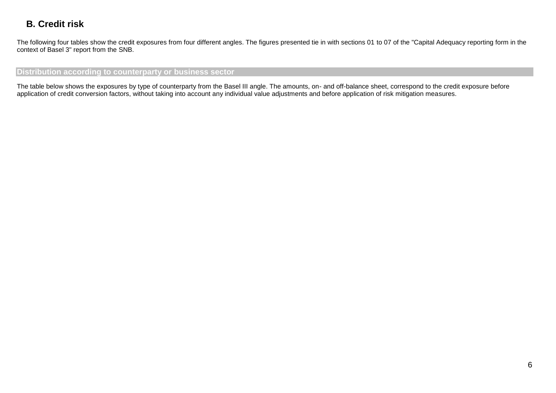## **B. Credit risk**

The following four tables show the credit exposures from four different angles. The figures presented tie in with sections 01 to 07 of the "Capital Adequacy reporting form in the context of Basel 3" report from the SNB.

#### **Distribution according to counterparty or business sector**

The table below shows the exposures by type of counterparty from the Basel III angle. The amounts, on- and off-balance sheet, correspond to the credit exposure before application of credit conversion factors, without taking into account any individual value adjustments and before application of risk mitigation measures.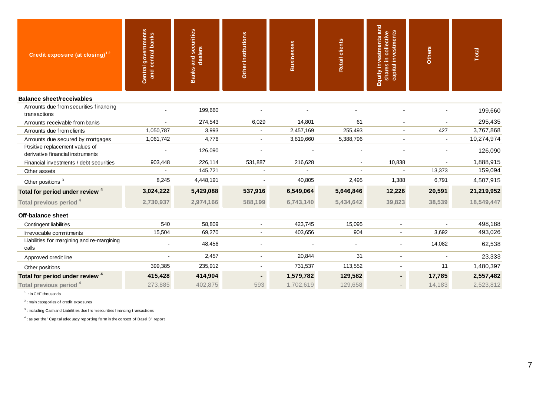| Credit exposure (at closing) <sup>12</sup>                         | <b>Central governments</b><br>and central banks | and securities<br>dealers<br><b>Banks</b> | Other institutions | <b>Businesses</b> | <b>Retail clients</b> | Equity investments and<br>capital investments<br>shares in collective | <b>Others</b> | Total      |
|--------------------------------------------------------------------|-------------------------------------------------|-------------------------------------------|--------------------|-------------------|-----------------------|-----------------------------------------------------------------------|---------------|------------|
| <b>Balance sheet/receivables</b>                                   |                                                 |                                           |                    |                   |                       |                                                                       |               |            |
| Amounts due from securities financing<br>transactions              |                                                 | 199,660                                   |                    |                   |                       |                                                                       |               | 199,660    |
| Amounts receivable from banks                                      |                                                 | 274,543                                   | 6,029              | 14,801            | 61                    |                                                                       |               | 295,435    |
| Amounts due from clients                                           | 1,050,787                                       | 3,993                                     |                    | 2,457,169         | 255,493               |                                                                       | 427           | 3,767,868  |
| Amounts due secured by mortgages                                   | 1,061,742                                       | 4,776                                     |                    | 3,819,660         | 5,388,796             |                                                                       |               | 10,274,974 |
| Positive replacement values of<br>derivative financial instruments |                                                 | 126,090                                   |                    |                   |                       |                                                                       |               | 126,090    |
| Financial investments / debt securities                            | 903,448                                         | 226,114                                   | 531,887            | 216,628           |                       | 10,838                                                                |               | 1,888,915  |
| Other assets                                                       |                                                 | 145,721                                   |                    |                   |                       |                                                                       | 13,373        | 159,094    |
| Other positions <sup>3</sup>                                       | 8,245                                           | 4,448,191                                 |                    | 40,805            | 2,495                 | 1,388                                                                 | 6,791         | 4,507,915  |
| Total for period under review <sup>4</sup>                         | 3,024,222                                       | 5,429,088                                 | 537,916            | 6,549,064         | 5,646,846             | 12,226                                                                | 20,591        | 21,219,952 |
| Total previous period <sup>4</sup>                                 | 2,730,937                                       | 2,974,166                                 | 588,199            | 6,743,140         | 5,434,642             | 39,823                                                                | 38,539        | 18,549,447 |
| Off-balance sheet                                                  |                                                 |                                           |                    |                   |                       |                                                                       |               |            |
| Contingent liabilities                                             | 540                                             | 58,809                                    |                    | 423,745           | 15,095                |                                                                       |               | 498,188    |
| Irrevocable commitments                                            | 15,504                                          | 69,270                                    |                    | 403,656           | 904                   | $\sim$                                                                | 3,692         | 493,026    |
| Liabilities for margining and re-margining<br>calls                |                                                 | 48,456                                    |                    |                   |                       | $\blacksquare$                                                        | 14,082        | 62,538     |
| Approved credit line                                               |                                                 | 2,457                                     |                    | 20,844            | 31                    |                                                                       |               | 23,333     |
| Other positions                                                    | 399,385                                         | 235,912                                   |                    | 731,537           | 113,552               |                                                                       | 11            | 1,480,397  |
| Total for period under review <sup>4</sup>                         | 415,428                                         | 414,904                                   |                    | 1,579,782         | 129,582               |                                                                       | 17,785        | 2,557,482  |
| Total previous period <sup>4</sup>                                 | 273,885                                         | 402,875                                   | 593                | 1,702,619         | 129,658               |                                                                       | 14,183        | 2,523,812  |

1 : in CHF thousands

 $2$ : main categories of credit exposures

 $3$ : including Cash and Liabilities due from securities financing transactions

 $4$ : as per the "Capital adequacy reporting form in the context of Basel 3" report : in CHF thousands<br>: main categories of credit exposures<br>: including Cash and Liabilities due from securities financing transactions<br>: as per the " Capital adequacy reporting form in the context of Basel 3" report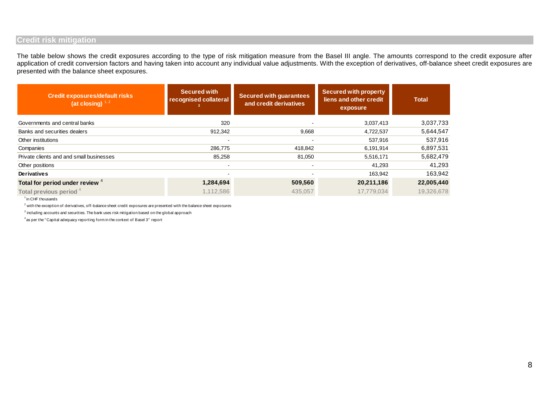### **Credit risk mitigation**

The table below shows the credit exposures according to the type of risk mitigation measure from the Basel III angle. The amounts correspond to the credit exposure after application of credit conversion factors and having taken into account any individual value adjustments. With the exception of derivatives, off-balance sheet credit exposures are presented with the balance sheet exposures.

| <b>Credit exposures/default risks</b><br>(at closing) $1, 2$ | <b>Secured with</b><br>recognised collateral | <b>Secured with guarantees</b><br>and credit derivatives | <b>Secured with property</b><br>liens and other credit<br>exposure | <b>Total</b> |
|--------------------------------------------------------------|----------------------------------------------|----------------------------------------------------------|--------------------------------------------------------------------|--------------|
| Governments and central banks                                | 320                                          |                                                          | 3,037,413                                                          | 3,037,733    |
| Banks and securities dealers                                 | 912,342                                      | 9,668<br>4,722,537                                       |                                                                    | 5,644,547    |
| Other institutions                                           | $\overline{\phantom{0}}$                     |                                                          | 537,916                                                            | 537,916      |
| Companies                                                    | 286,775                                      | 418,842                                                  | 6,191,914                                                          | 6,897,531    |
| Private clients and and small businesses                     | 85,258                                       | 81,050                                                   | 5,516,171                                                          | 5,682,479    |
| Other positions                                              | $\blacksquare$                               | $\blacksquare$                                           | 41.293                                                             | 41,293       |
| <b>Derivatives</b>                                           |                                              |                                                          | 163,942                                                            | 163,942      |
| Total for period under review 4                              | 1,284,694                                    | 509,560                                                  | 20,211,186                                                         | 22,005,440   |
| Total previous period <sup>4</sup>                           | 1,112,586                                    | 435,057                                                  | 17,779,034                                                         | 19,326,678   |

<sup>1</sup> in CHF thousands

 $^2$  with the exception of derivatives, off-balance sheet credit exposures are presented with the balance sheet exposures <sup>2</sup> in CHF thousands<br><sup>2</sup> with the exception of derivatives, off-balance sheet credit exposures are pres<br><sup>3</sup> including accounts and securities. The bank uses risk mitigation based on the<br><sup>4</sup> as per the "Capital adequacy re

 $^{\rm 3}$  including accounts and securities. The bank uses risk mitigation based on the global approach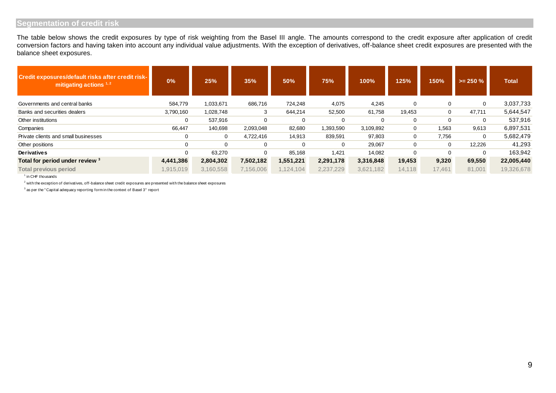### **Segmentation of credit risk**

| Credit exposures/default risks after credit risk-<br>0%<br>mitigating actions $1, 2$<br>584,779<br>Governments and central banks<br>Banks and securities dealers<br>3,790,160<br>Other institutions<br>0<br>66,447<br>Private clients and small businesses<br>0<br>0<br>Other positions<br><b>Derivatives</b><br>0 | 25%<br>1,033,671<br>1,028,748 | 35%<br>686,716<br>3 | 50%<br>724,248<br>644,214 | 75%<br>4,075<br>52,500 | 100%<br>4,245 | 125%<br>0   | 150%<br>$\Omega$ | $>= 250 %$ | <b>Total</b> |
|--------------------------------------------------------------------------------------------------------------------------------------------------------------------------------------------------------------------------------------------------------------------------------------------------------------------|-------------------------------|---------------------|---------------------------|------------------------|---------------|-------------|------------------|------------|--------------|
|                                                                                                                                                                                                                                                                                                                    |                               |                     |                           |                        |               |             |                  |            |              |
|                                                                                                                                                                                                                                                                                                                    |                               |                     |                           |                        |               |             |                  | 0          | 3,037,733    |
|                                                                                                                                                                                                                                                                                                                    |                               |                     |                           |                        | 61,758        | 19,453      | 0                | 47,711     | 5,644,547    |
| Companies                                                                                                                                                                                                                                                                                                          | 537,916                       | $\mathbf 0$         | 0                         | $\mathbf 0$            | $\Omega$      | $\Omega$    | 0                | 0          | 537,916      |
|                                                                                                                                                                                                                                                                                                                    | 140,698                       | 2,093,048           | 82,680                    | 1,393,590              | 3,109,892     | 0           | 1,563            | 9,613      | 6,897,531    |
|                                                                                                                                                                                                                                                                                                                    | 0                             | 4,722,416           | 14,913                    | 839,591                | 97,803        | $\mathbf 0$ | 7,756            | 0          | 5,682,479    |
|                                                                                                                                                                                                                                                                                                                    | $\Omega$                      | 0                   | $\Omega$                  | $\mathbf{0}$           | 29,067        | $\Omega$    | 0                | 12,226     | 41,293       |
|                                                                                                                                                                                                                                                                                                                    | 63,270                        | $\Omega$            | 85,168                    | 1,421                  | 14,082        | $\Omega$    | $\Omega$         | $\Omega$   | 163,942      |
| Total for period under review 3<br>4,441,386                                                                                                                                                                                                                                                                       | 2,804,302                     | 7,502,182           | 1,551,221                 | 2,291,178              | 3,316,848     | 19,453      | 9,320            | 69,550     | 22,005,440   |
| <b>Total previous period</b><br>1,915,019                                                                                                                                                                                                                                                                          | 3,160,558                     | 7,156,006           | 1,124,104                 | 2,237,229              | 3,621,182     | 14,118      | 17,461           | 81,001     | 19,326,678   |
| $1$ in CHF thousands                                                                                                                                                                                                                                                                                               |                               |                     |                           |                        |               |             |                  |            |              |
| <sup>2</sup> with the exception of derivatives, off-balance sheet credit exposures are presented with the balance sheet exposures                                                                                                                                                                                  |                               |                     |                           |                        |               |             |                  |            |              |
| <sup>3</sup> as per the "Capital adequacy reporting form in the context of Basel 3" report                                                                                                                                                                                                                         |                               |                     |                           |                        |               |             |                  |            |              |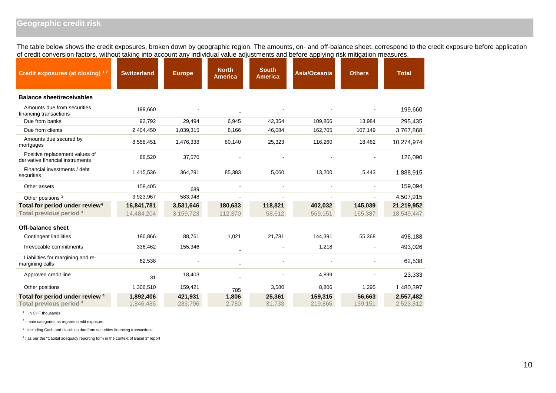## **Geographic credit risk**

The table below shows the credit exposures, broken down by geographic region. The amounts, on- and off-balance sheet, correspond to the credit exposure before application of credit conversion factors, without taking into account any individual value adjustments and before applying risk mitigation measures.

| Credit exposures (at closing) 12                                   | <b>Switzerland</b>     | <b>Europe</b>      | <b>North</b><br><b>America</b> | <b>South</b><br><b>America</b> | Asia/Oceania       | <b>Others</b>     | <b>Total</b>           |
|--------------------------------------------------------------------|------------------------|--------------------|--------------------------------|--------------------------------|--------------------|-------------------|------------------------|
| <b>Balance sheet/receivables</b>                                   |                        |                    |                                |                                |                    |                   |                        |
| Amounts due from securities<br>financing transactions              | 199,660                |                    |                                |                                |                    |                   | 199,660                |
| Due from banks                                                     | 92,792                 | 29,494             | 6,945                          | 42,354                         | 109,866            | 13,984            | 295,435                |
| Due from clients                                                   | 2,404,450              | 1,039,315          | 8,166                          | 46,084                         | 162,705            | 107,149           | 3,767,868              |
| Amounts due secured by<br>mortgages                                | 8,558,451              | 1,476,338          | 80,140                         | 25,323                         | 116,260            | 18,462            | 10,274,974             |
| Positive replacement values of<br>derivative financial instruments | 88,520                 | 37,570             |                                |                                |                    |                   | 126,090                |
| Financial investments / debt<br>securities                         | 1,415,536              | 364,291            | 85,383                         | 5,060                          | 13,200             | 5,443             | 1,888,915              |
| Other assets                                                       | 158,405                | 689                |                                |                                |                    |                   | 159,094                |
| Other positions <sup>3</sup>                                       | 3,923,967              | 583,948            |                                |                                |                    | $\blacksquare$    | 4,507,915              |
| Total for period under review <sup>4</sup>                         | 16,841,781             | 3,531,646          | 180,633                        | 118,821                        | 402,032            | 145,039           | 21,219,952             |
| Total previous period 4                                            | 14,484,204             | 3,159,723          | 112,370                        | 58,612                         | 569,151            | 165,387           | 18,549,447             |
| Off-balance sheet                                                  |                        |                    |                                |                                |                    |                   |                        |
| <b>Contingent liabilities</b>                                      | 186,866                | 88,761             | 1,021                          | 21,781                         | 144,391            | 55,368            | 498,188                |
| Irrevocable commitments                                            | 336,462                | 155,346            |                                |                                | 1,218              |                   | 493,026                |
| Liabilities for margining and re-<br>margining calls               | 62,538                 |                    |                                |                                |                    |                   | 62,538                 |
| Approved credit line                                               | 31                     | 18,403             |                                |                                | 4,899              |                   | 23,333                 |
| Other positions                                                    | 1,306,510              | 159,421            | 785                            | 3,580                          | 8,806              | 1,295             | 1,480,397              |
| Total for period under review 4<br>Total previous period 4         | 1,892,406<br>1.846.486 | 421,931<br>283.796 | 1,806<br>2.780                 | 25,361<br>31.733               | 159,315<br>219,866 | 56,663<br>139.151 | 2,557,482<br>2.523.812 |

<sup>1</sup> : in CHF thousands

 $2$  : main categories as regards credit exposure

<sup>3</sup>: including Cash and Liabilities due from securities financing transactions

<sup>4</sup> : as per the "Capital adequacy reporting form in the context of Basel 3" report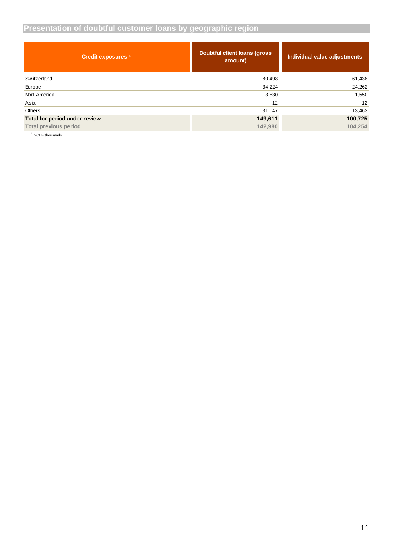## **Presentation of doubtful customer loans by geographic region**

| <b>Credit exposures</b> <sup>1</sup> | Doubtful client loans (gross<br>amount) | Individual value adjustments |
|--------------------------------------|-----------------------------------------|------------------------------|
| Sw itzerland                         | 80,498                                  | 61,438                       |
| Europe                               | 34,224                                  | 24,262                       |
| Nort America                         | 3,830                                   | 1,550                        |
| Asia                                 | 12                                      | 12                           |
| Others                               | 31,047                                  | 13,463                       |
| Total for period under review        | 149,611                                 | 100,725                      |
| <b>Total previous period</b>         | 142,980                                 | 104,254                      |

 $1$  in CHF thousands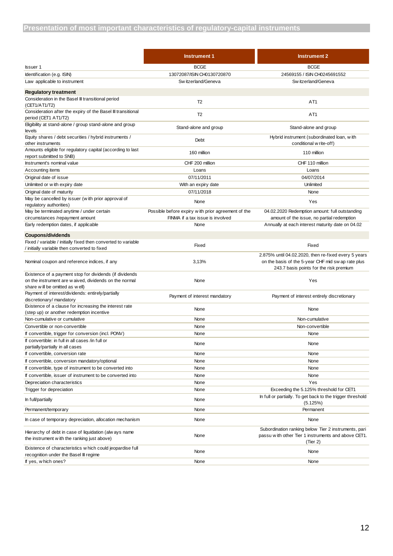|                                                                                                                                                     | <b>Instrument 1</b>                                | <b>Instrument 2</b>                                                                                                                                   |  |  |
|-----------------------------------------------------------------------------------------------------------------------------------------------------|----------------------------------------------------|-------------------------------------------------------------------------------------------------------------------------------------------------------|--|--|
| <b>Issuer 1</b>                                                                                                                                     | <b>BCGE</b>                                        | <b>BCGE</b>                                                                                                                                           |  |  |
| Identification (e.g. ISIN)                                                                                                                          | 13072087/ISIN CH0130720870                         | 24569155 / ISIN CH0245691552                                                                                                                          |  |  |
| Law applicable to instrument                                                                                                                        | Sw itzerland/Geneva                                | Sw itzerland/Geneva                                                                                                                                   |  |  |
| <b>Regulatory treatment</b>                                                                                                                         |                                                    |                                                                                                                                                       |  |  |
| Consideration in the Basel III transitional period<br>(CET1/AT1/T2)                                                                                 | T <sub>2</sub>                                     | AT <sub>1</sub>                                                                                                                                       |  |  |
| Consideration after the expiry of the Basel III transitional<br>period (CET1 AT1/T2)                                                                | T2                                                 | AT <sub>1</sub>                                                                                                                                       |  |  |
| Eligibility at stand-alone / group stand-alone and group<br>levels                                                                                  | Stand-alone and group                              | Stand-alone and group                                                                                                                                 |  |  |
| Equity shares / debt securities / hybrid instruments /<br>other instruments                                                                         | Debt                                               | Hybrid instrument (subordinated loan, with<br>conditional w rite-off)                                                                                 |  |  |
| Amounts eligible for regulatory capital (according to last<br>report submitted to SNB)                                                              | 160 million                                        | 110 million                                                                                                                                           |  |  |
| Instrument's nominal value                                                                                                                          | CHF 200 million                                    | CHF 110 million                                                                                                                                       |  |  |
| Accounting items                                                                                                                                    | Loans                                              | Loans                                                                                                                                                 |  |  |
| Original date of issue                                                                                                                              | 07/11/2011                                         | 04/07/2014                                                                                                                                            |  |  |
| Unlimited or with expiry date                                                                                                                       | With an expiry date                                | Unlimited                                                                                                                                             |  |  |
| Original date of maturity                                                                                                                           | 07/11/2018                                         | None                                                                                                                                                  |  |  |
| May be cancelled by issuer (with prior approval of                                                                                                  |                                                    |                                                                                                                                                       |  |  |
| regulatory authorities)                                                                                                                             | None                                               | Yes                                                                                                                                                   |  |  |
| May be terminated anytime / under certain                                                                                                           | Possible before expiry with prior agreement of the | 04.02.2020 Redemption amount: full outstanding                                                                                                        |  |  |
| circumstances /repayment amount                                                                                                                     | FINMA if a tax issue is involved                   | amount of the issue, no partial redemption                                                                                                            |  |  |
| Early redemption dates, if applicable                                                                                                               | None                                               | Annually at each interest maturity date on 04.02                                                                                                      |  |  |
| Coupons/dividends                                                                                                                                   |                                                    |                                                                                                                                                       |  |  |
| Fixed / variable / initially fixed then converted to variable                                                                                       | Fixed                                              | Fixed                                                                                                                                                 |  |  |
| / initially variable then converted to fixed                                                                                                        |                                                    |                                                                                                                                                       |  |  |
| Nominal coupon and reference indices, if any                                                                                                        | 3,13%                                              | 2.875% until 04.02.2020, then re-fixed every 5 years<br>on the basis of the 5-year CHF mid sw ap rate plus<br>243.7 basis points for the risk premium |  |  |
| Existence of a payment stop for dividends (if dividends<br>on the instrument are w aived, dividends on the normal<br>share will be omitted as well) | None                                               | Yes                                                                                                                                                   |  |  |
| Payment of interest/dividends: entirely/partially<br>discretionary/mandatory                                                                        | Payment of interest mandatory                      | Payment of interest entirely discretionary                                                                                                            |  |  |
| Existence of a clause for increasing the interest rate<br>(step up) or another redemption incentive                                                 | None                                               | None                                                                                                                                                  |  |  |
| Non-cumulative or cumulative                                                                                                                        | None                                               | Non-cumulative                                                                                                                                        |  |  |
| Convertible or non-convertible                                                                                                                      | None                                               | Non-convertible                                                                                                                                       |  |  |
| If convertible, trigger for conversion (incl. PONV)                                                                                                 | None                                               | None                                                                                                                                                  |  |  |
| If convertible: in full in all cases /in full or                                                                                                    |                                                    |                                                                                                                                                       |  |  |
| partially/partially in all cases                                                                                                                    | None                                               | None                                                                                                                                                  |  |  |
| If convertible, conversion rate                                                                                                                     | None                                               | None                                                                                                                                                  |  |  |
| If convertible, conversion mandatory/optional                                                                                                       | None                                               | None                                                                                                                                                  |  |  |
| If convertible, type of instrument to be converted into                                                                                             | None                                               | None                                                                                                                                                  |  |  |
| If convertible, issuer of instrument to be converted into                                                                                           | None                                               | None                                                                                                                                                  |  |  |
| Depreciation characteristics                                                                                                                        | None                                               | Yes                                                                                                                                                   |  |  |
| Trigger for depreciation                                                                                                                            | None                                               | Exceeding the 5.125% threshold for CET1                                                                                                               |  |  |
| In full/partially                                                                                                                                   | None                                               | In full or partially. To get back to the trigger threshold<br>(5.125%)                                                                                |  |  |
| Permanent/temporary                                                                                                                                 | None                                               | Permanent                                                                                                                                             |  |  |
| In case of temporary depreciation, allocation mechanism                                                                                             | None                                               | None                                                                                                                                                  |  |  |
| Hierarchy of debt in case of liquidation (alw ays name<br>the instrument with the ranking just above)                                               | None                                               | Subordination ranking below Tier 2 instruments, pari<br>passu with other Tier 1 instruments and above CET1.<br>(Tier 2)                               |  |  |
| Existence of characteristics w hich could jeopardise full<br>recognition under the Basel III regime                                                 | None                                               | None                                                                                                                                                  |  |  |
| If yes, w hich ones?                                                                                                                                | None                                               | None                                                                                                                                                  |  |  |
|                                                                                                                                                     |                                                    |                                                                                                                                                       |  |  |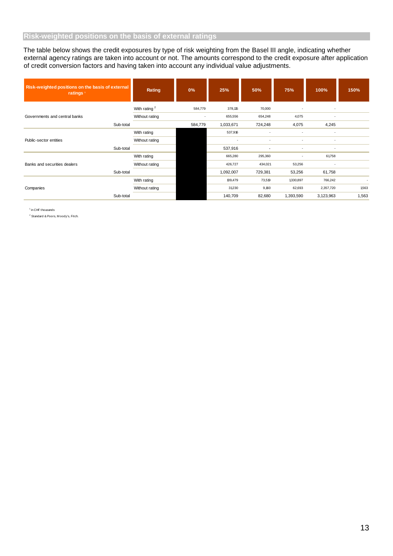The table below shows the credit exposures by type of risk weighting from the Basel III angle, indicating whether external agency ratings are taken into account or not. The amounts correspond to the credit exposure after application of credit conversion factors and having taken into account any individual value adjustments.

| Risk-weighted positions on the basis of external<br>ratings <sup>1</sup> |           | Rating                   | 0%      | 25%       | 50%     | 75%            | 100%           | 150%  |
|--------------------------------------------------------------------------|-----------|--------------------------|---------|-----------|---------|----------------|----------------|-------|
|                                                                          |           | With rating <sup>2</sup> | 584,779 | 378,115   | 70,000  |                |                |       |
| Governments and central banks                                            |           | Without rating           |         | 655,556   | 654,248 | 4,075          |                |       |
|                                                                          | Sub-total |                          | 584,779 | 1,033,671 | 724,248 | 4,075          | 4,245          |       |
|                                                                          |           | With rating              |         | 537,916   |         |                |                |       |
| Public-sector entities                                                   |           | Without rating           |         |           |         |                |                |       |
|                                                                          | Sub-total |                          |         | 537,916   |         | $\overline{a}$ | $\overline{a}$ |       |
|                                                                          |           | With rating              |         | 665,280   | 295,360 |                | 61,758         |       |
| Banks and securities dealers                                             |           | Without rating           |         | 426,727   | 434,021 | 53,256         | ٠              |       |
|                                                                          | Sub-total |                          |         | 1,092,007 | 729,381 | 53,256         | 61,758         |       |
|                                                                          |           | With rating              |         | 109,479   | 73,519  | 1,330,897      | 766,242        | ٠     |
| Companies                                                                |           | Without rating           |         | 31,230    | 9,160   | 62,693         | 2,357,720      | 1,563 |
|                                                                          | Sub-total |                          |         | 140,709   | 82,680  | 1,393,590      | 3,123,963      | 1,563 |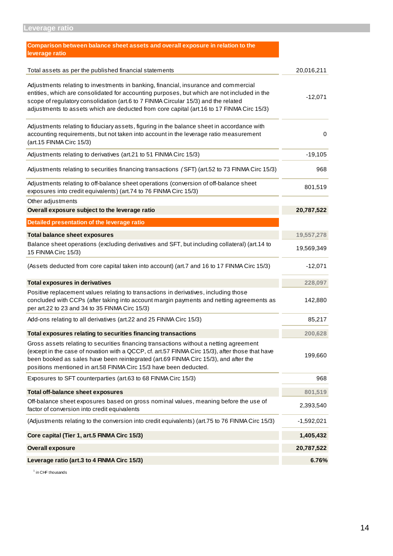| Comparison between balance sheet assets and overall exposure in relation to the<br>leverage ratio                                                                                                                                                                                                                                                                     |            |
|-----------------------------------------------------------------------------------------------------------------------------------------------------------------------------------------------------------------------------------------------------------------------------------------------------------------------------------------------------------------------|------------|
| Total assets as per the published financial statements                                                                                                                                                                                                                                                                                                                | 20,016,211 |
| Adjustments relating to investments in banking, financial, insurance and commercial<br>entities, which are consolidated for accounting purposes, but which are not included in the<br>scope of regulatory consolidation (art.6 to 7 FINMA Circular 15/3) and the related<br>adjustments to assets which are deducted from core capital (art.16 to 17 FINMA Circ 15/3) | $-12,071$  |
| Adjustments relating to fiduciary assets, figuring in the balance sheet in accordance with<br>accounting requirements, but not taken into account in the leverage ratio measurement<br>(art.15 FINMA Circ 15/3)                                                                                                                                                       | 0          |
| Adjustments relating to derivatives (art.21 to 51 FINMA Circ 15/3)                                                                                                                                                                                                                                                                                                    | $-19,105$  |
| Adjustments relating to securities financing transactions (SFT) (art.52 to 73 FINMA Circ 15/3)                                                                                                                                                                                                                                                                        | 968        |
| Adjustments relating to off-balance sheet operations (conversion of off-balance sheet<br>exposures into credit equivalents) (art.74 to 76 FINMA Circ 15/3)                                                                                                                                                                                                            | 801,519    |
| Other adjustments<br>Overall exposure subject to the leverage ratio                                                                                                                                                                                                                                                                                                   | 20,787,522 |
| Detailed presentation of the leverage ratio                                                                                                                                                                                                                                                                                                                           |            |
| <b>Total balance sheet exposures</b>                                                                                                                                                                                                                                                                                                                                  | 19,557,278 |
| Balance sheet operations (excluding derivatives and SFT, but including collateral) (art.14 to<br>15 FINMA Circ 15/3)                                                                                                                                                                                                                                                  | 19,569,349 |
| (Assets deducted from core capital taken into account) (art.7 and 16 to 17 FINMA Circ 15/3)                                                                                                                                                                                                                                                                           | $-12,071$  |
| <b>Total exposures in derivatives</b>                                                                                                                                                                                                                                                                                                                                 | 228,097    |
| Positive replacement values relating to transactions in derivatives, including those<br>concluded with CCPs (after taking into account margin payments and netting agreements as<br>per art.22 to 23 and 34 to 35 FINMA Circ 15/3)                                                                                                                                    | 142,880    |
| Add-ons relating to all derivatives (art.22 and 25 FINMA Circ 15/3)                                                                                                                                                                                                                                                                                                   | 85,217     |
| Total exposures relating to securities financing transactions                                                                                                                                                                                                                                                                                                         | 200,628    |
| Gross assets relating to securities financing transactions without a netting agreement<br>(except in the case of novation with a QCCP, cf. art.57 FINMA Circ 15/3), after those that have<br>been booked as sales have been reintegrated (art.69 FINMA Circ 15/3), and after the<br>positions mentioned in art.58 FINMA Circ 15/3 have been deducted.                 | 199,660    |
| Exposures to SFT counterparties (art.63 to 68 FINMA Circ 15/3)                                                                                                                                                                                                                                                                                                        | 968        |
| <b>Total off-balance sheet exposures</b>                                                                                                                                                                                                                                                                                                                              | 801,519    |
| Off-balance sheet exposures based on gross nominal values, meaning before the use of<br>factor of conversion into credit equivalents                                                                                                                                                                                                                                  | 2,393,540  |
| (Adjustments relating to the conversion into credit equivalents) (art.75 to 76 FINMA Circ 15/3)                                                                                                                                                                                                                                                                       | -1,592,021 |
| Core capital (Tier 1, art.5 FINMA Circ 15/3)                                                                                                                                                                                                                                                                                                                          | 1,405,432  |
| <b>Overall exposure</b>                                                                                                                                                                                                                                                                                                                                               | 20,787,522 |
| Leverage ratio (art.3 to 4 FINMA Circ 15/3)                                                                                                                                                                                                                                                                                                                           | 6.76%      |

<sup>1</sup> in CHF thousands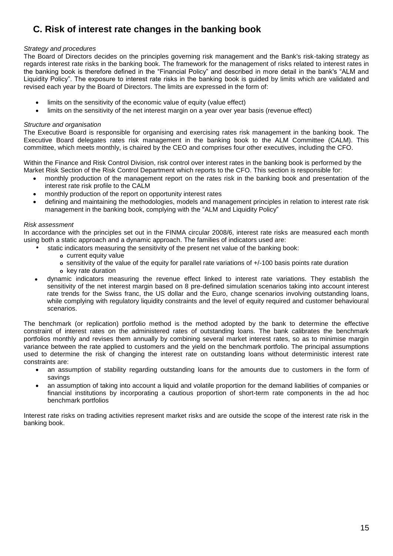## **C. Risk of interest rate changes in the banking book**

#### *Strategy and procedures*

The Board of Directors decides on the principles governing risk management and the Bank's risk-taking strategy as regards interest rate risks in the banking book. The framework for the management of risks related to interest rates in the banking book is therefore defined in the "Financial Policy" and described in more detail in the bank's "ALM and Liquidity Policy". The exposure to interest rate risks in the banking book is guided by limits which are validated and revised each year by the Board of Directors. The limits are expressed in the form of:

- limits on the sensitivity of the economic value of equity (value effect)
- limits on the sensitivity of the net interest margin on a year over year basis (revenue effect)

#### *Structure and organisation*

The Executive Board is responsible for organising and exercising rates risk management in the banking book. The Executive Board delegates rates risk management in the banking book to the ALM Committee (CALM). This committee, which meets monthly, is chaired by the CEO and comprises four other executives, including the CFO.

Within the Finance and Risk Control Division, risk control over interest rates in the banking book is performed by the Market Risk Section of the Risk Control Department which reports to the CFO. This section is responsible for:

- monthly production of the management report on the rates risk in the banking book and presentation of the interest rate risk profile to the CALM
- monthly production of the report on opportunity interest rates
- defining and maintaining the methodologies, models and management principles in relation to interest rate risk management in the banking book, complying with the "ALM and Liquidity Policy"

#### *Risk assessment*

In accordance with the principles set out in the FINMA circular 2008/6, interest rate risks are measured each month using both a static approach and a dynamic approach. The families of indicators used are:

- static indicators measuring the sensitivity of the present net value of the banking book:
	- **o** current equity value
	- **o** sensitivity of the value of the equity for parallel rate variations of +/-100 basis points rate duration
	- **o** key rate duration
- dynamic indicators measuring the revenue effect linked to interest rate variations. They establish the sensitivity of the net interest margin based on 8 pre-defined simulation scenarios taking into account interest rate trends for the Swiss franc, the US dollar and the Euro, change scenarios involving outstanding loans, while complying with regulatory liquidity constraints and the level of equity required and customer behavioural scenarios.

The benchmark (or replication) portfolio method is the method adopted by the bank to determine the effective constraint of interest rates on the administered rates of outstanding loans. The bank calibrates the benchmark portfolios monthly and revises them annually by combining several market interest rates, so as to minimise margin variance between the rate applied to customers and the yield on the benchmark portfolio. The principal assumptions used to determine the risk of changing the interest rate on outstanding loans without deterministic interest rate constraints are:

- an assumption of stability regarding outstanding loans for the amounts due to customers in the form of savings
- an assumption of taking into account a liquid and volatile proportion for the demand liabilities of companies or financial institutions by incorporating a cautious proportion of short-term rate components in the ad hoc benchmark portfolios

Interest rate risks on trading activities represent market risks and are outside the scope of the interest rate risk in the banking book.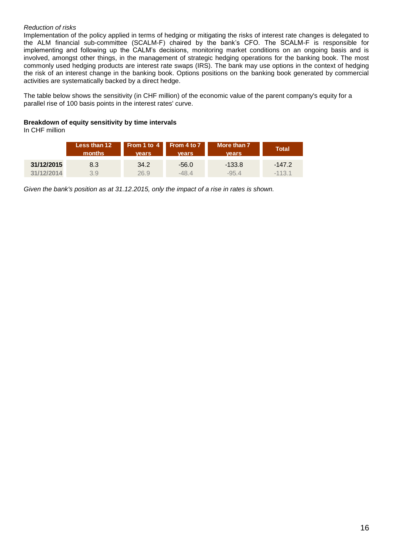#### *Reduction of risks*

Implementation of the policy applied in terms of hedging or mitigating the risks of interest rate changes is delegated to the ALM financial sub-committee (SCALM-F) chaired by the bank's CFO. The SCALM-F is responsible for implementing and following up the CALM's decisions, monitoring market conditions on an ongoing basis and is involved, amongst other things, in the management of strategic hedging operations for the banking book. The most commonly used hedging products are interest rate swaps (IRS). The bank may use options in the context of hedging the risk of an interest change in the banking book. Options positions on the banking book generated by commercial activities are systematically backed by a direct hedge.

The table below shows the sensitivity (in CHF million) of the economic value of the parent company's equity for a parallel rise of 100 basis points in the interest rates' curve.

#### **Breakdown of equity sensitivity by time intervals**

In CHF million

|            | Less than 12<br>months | From 1 to 4 From 4 to 7<br>vears | <b>vears</b> | More than 7<br><b>vears</b> | Total    |
|------------|------------------------|----------------------------------|--------------|-----------------------------|----------|
| 31/12/2015 | 8.3                    | 34.2                             | $-56.0$      | $-133.8$                    | $-147.2$ |
| 31/12/2014 | 3.9                    | 26.9                             | $-48.4$      | $-95.4$                     | $-1131$  |

*Given the bank's position as at 31.12.2015, only the impact of a rise in rates is shown.*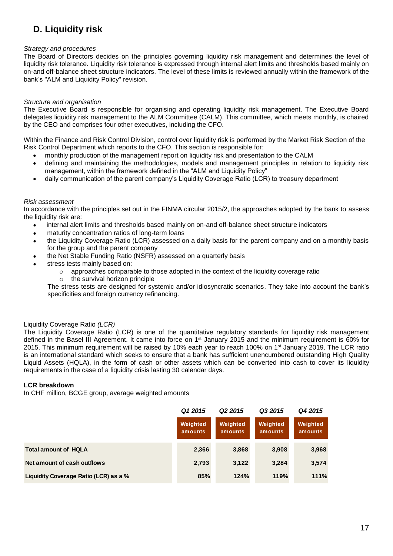## **D. Liquidity risk**

#### *Strategy and procedures*

The Board of Directors decides on the principles governing liquidity risk management and determines the level of liquidity risk tolerance. Liquidity risk tolerance is expressed through internal alert limits and thresholds based mainly on on-and off-balance sheet structure indicators. The level of these limits is reviewed annually within the framework of the bank's "ALM and Liquidity Policy" revision.

#### *Structure and organisation*

The Executive Board is responsible for organising and operating liquidity risk management. The Executive Board delegates liquidity risk management to the ALM Committee (CALM). This committee, which meets monthly, is chaired by the CEO and comprises four other executives, including the CFO.

Within the Finance and Risk Control Division, control over liquidity risk is performed by the Market Risk Section of the Risk Control Department which reports to the CFO. This section is responsible for:

- monthly production of the management report on liquidity risk and presentation to the CALM
- defining and maintaining the methodologies, models and management principles in relation to liquidity risk management, within the framework defined in the "ALM and Liquidity Policy"
- daily communication of the parent company's Liquidity Coverage Ratio (LCR) to treasury department

#### *Risk assessment*

In accordance with the principles set out in the FINMA circular 2015/2, the approaches adopted by the bank to assess the liquidity risk are:

- internal alert limits and thresholds based mainly on on-and off-balance sheet structure indicators
- maturity concentration ratios of long-term loans
- the Liquidity Coverage Ratio (LCR) assessed on a daily basis for the parent company and on a monthly basis for the group and the parent company
	- the Net Stable Funding Ratio (NSFR) assessed on a quarterly basis
- stress tests mainly based on:
	- $\circ$  approaches comparable to those adopted in the context of the liquidity coverage ratio
	- o the survival horizon principle

The stress tests are designed for systemic and/or idiosyncratic scenarios. They take into account the bank's specificities and foreign currency refinancing.

#### Liquidity Coverage Ratio *(LCR)*

The Liquidity Coverage Ratio (LCR) is one of the quantitative regulatory standards for liquidity risk management defined in the Basel III Agreement. It came into force on 1<sup>st</sup> January 2015 and the minimum requirement is 60% for 2015. This minimum requirement will be raised by 10% each year to reach 100% on 1st January 2019. The LCR ratio is an international standard which seeks to ensure that a bank has sufficient unencumbered outstanding High Quality Liquid Assets (HQLA), in the form of cash or other assets which can be converted into cash to cover its liquidity requirements in the case of a liquidity crisis lasting 30 calendar days.

#### **LCR breakdown**

In CHF million, BCGE group, average weighted amounts

|                                       | Q1 2015             | Q <sub>2</sub> 2015 | Q3 2015             | Q4 2015             |
|---------------------------------------|---------------------|---------------------|---------------------|---------------------|
|                                       | Weighted<br>amounts | Weighted<br>amounts | Weighted<br>amounts | Weighted<br>amounts |
| <b>Total amount of HQLA</b>           | 2,366               | 3,868               | 3,908               | 3,968               |
| Net amount of cash outflows           | 2,793               | 3,122               | 3,284               | 3,574               |
| Liquidity Coverage Ratio (LCR) as a % | 85%                 | 124%                | 119%                | 111%                |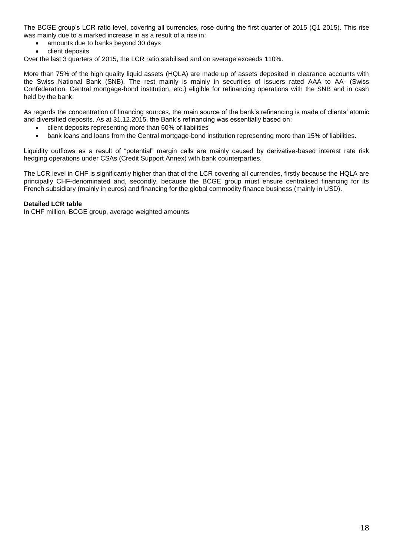The BCGE group's LCR ratio level, covering all currencies, rose during the first quarter of 2015 (Q1 2015). This rise was mainly due to a marked increase in as a result of a rise in:

- amounts due to banks beyond 30 days
	- client deposits

Over the last 3 quarters of 2015, the LCR ratio stabilised and on average exceeds 110%.

More than 75% of the high quality liquid assets (HQLA) are made up of assets deposited in clearance accounts with the Swiss National Bank (SNB). The rest mainly is mainly in securities of issuers rated AAA to AA- (Swiss Confederation, Central mortgage-bond institution, etc.) eligible for refinancing operations with the SNB and in cash held by the bank.

As regards the concentration of financing sources, the main source of the bank's refinancing is made of clients' atomic and diversified deposits. As at 31.12.2015, the Bank's refinancing was essentially based on:

- client deposits representing more than 60% of liabilities
- bank loans and loans from the Central mortgage-bond institution representing more than 15% of liabilities.

Liquidity outflows as a result of "potential" margin calls are mainly caused by derivative-based interest rate risk hedging operations under CSAs (Credit Support Annex) with bank counterparties.

The LCR level in CHF is significantly higher than that of the LCR covering all currencies, firstly because the HQLA are principally CHF-denominated and, secondly, because the BCGE group must ensure centralised financing for its French subsidiary (mainly in euros) and financing for the global commodity finance business (mainly in USD).

#### **Detailed LCR table**

In CHF million, BCGE group, average weighted amounts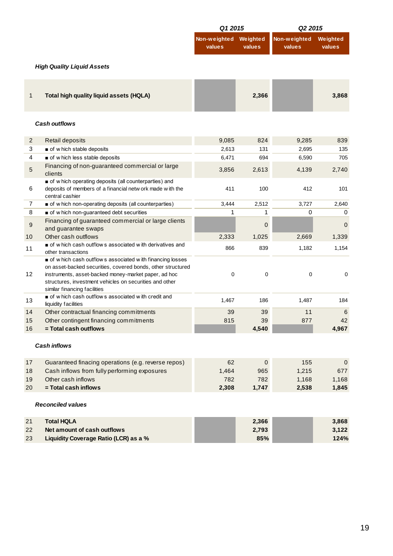|                |                                                                                                                                                                                                                                                                           | Q1 2015                |                    | Q2 2015                |                    |
|----------------|---------------------------------------------------------------------------------------------------------------------------------------------------------------------------------------------------------------------------------------------------------------------------|------------------------|--------------------|------------------------|--------------------|
|                |                                                                                                                                                                                                                                                                           | Non-weighted<br>values | Weighted<br>values | Non-weighted<br>values | Weighted<br>values |
|                | <b>High Quality Liquid Assets</b>                                                                                                                                                                                                                                         |                        |                    |                        |                    |
| 1              | Total high quality liquid assets (HQLA)                                                                                                                                                                                                                                   |                        | 2,366              |                        | 3,868              |
|                | <b>Cash outflows</b>                                                                                                                                                                                                                                                      |                        |                    |                        |                    |
| $\overline{2}$ | Retail deposits                                                                                                                                                                                                                                                           | 9,085                  | 824                | 9,285                  | 839                |
| 3              | of which stable deposits                                                                                                                                                                                                                                                  | 2,613                  | 131                | 2,695                  | 135                |
| 4              | of which less stable deposits                                                                                                                                                                                                                                             | 6,471                  | 694                | 6,590                  | 705                |
| 5              | Financing of non-guaranteed commercial or large<br>clients                                                                                                                                                                                                                | 3,856                  | 2,613              | 4,139                  | 2,740              |
| 6              | of which operating deposits (all counterparties) and<br>deposits of members of a financial netw ork made with the<br>central cashier                                                                                                                                      | 411                    | 100                | 412                    | 101                |
| 7              | of which non-operating deposits (all counterparties)                                                                                                                                                                                                                      | 3,444                  | 2,512              | 3,727                  | 2,640              |
| 8              | of which non-guaranteed debt securities                                                                                                                                                                                                                                   | 1                      | 1                  | 0                      | 0                  |
| 9              | Financing of guaranteed commercial or large clients<br>and guarantee swaps                                                                                                                                                                                                |                        | 0                  |                        | $\mathbf{0}$       |
| 10             | Other cash outflows                                                                                                                                                                                                                                                       | 2,333                  | 1,025              | 2,669                  | 1,339              |
| 11             | of which cash outflows associated with derivatives and<br>other transactions                                                                                                                                                                                              | 866                    | 839                | 1,182                  | 1,154              |
| 12             | of which cash outflows associated with financing losses<br>on asset-backed securities, covered bonds, other structured<br>instruments, asset-backed money-market paper, ad hoc<br>structures, investment vehicles on securities and other<br>similar financing facilities | 0                      | $\mathbf 0$        | 0                      | 0                  |
| 13             | of which cash outflows associated with credit and<br>liquidity facilities                                                                                                                                                                                                 | 1,467                  | 186                | 1,487                  | 184                |
| 14             | Other contractual financing commitments                                                                                                                                                                                                                                   | 39                     | 39                 | 11                     | $\,6\,$            |
| 15             | Other contingent financing commitments                                                                                                                                                                                                                                    | 815                    | 39                 | 877                    | 42                 |
| 16             | = Total cash outflows                                                                                                                                                                                                                                                     |                        | 4,540              |                        | 4,967              |
|                | <b>Cash inflows</b>                                                                                                                                                                                                                                                       |                        |                    |                        |                    |
| 17             | Guaranteed finacing operations (e.g. reverse repos)                                                                                                                                                                                                                       | 62                     | $\pmb{0}$          | 155                    | $\mathbf 0$        |
| 18             | Cash inflows from fully performing exposures                                                                                                                                                                                                                              | 1,464                  | 965                | 1,215                  | 677                |
| 19             | Other cash inflows                                                                                                                                                                                                                                                        | 782                    | 782                | 1,168                  | 1,168              |
| 20             | = Total cash inflows                                                                                                                                                                                                                                                      | 2,308                  | 1,747              | 2,538                  | 1,845              |
|                | <b>Reconciled values</b>                                                                                                                                                                                                                                                  |                        |                    |                        |                    |
| 21             | <b>Total HQLA</b>                                                                                                                                                                                                                                                         |                        | 2,366              |                        | 3,868              |
| 22             | Net amount of cash outflows                                                                                                                                                                                                                                               |                        | 2,793              |                        | 3,122              |
| 23             | Liquidity Coverage Ratio (LCR) as a %                                                                                                                                                                                                                                     |                        | 85%                |                        | 124%               |
|                |                                                                                                                                                                                                                                                                           |                        |                    |                        |                    |